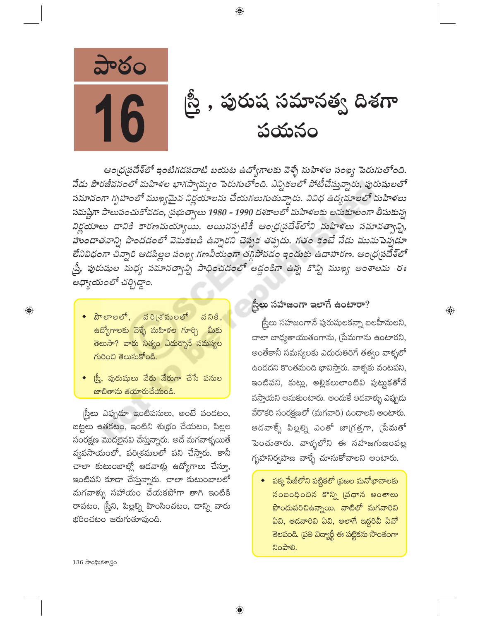

ఆంధ్రపదేశ్లో ఇంటిగడపదాటి బయట ఉద్యోగాలకు వెళ్ళే మహిళల సంఖ్య పెరుగుతోంది. నేడు పౌరజీవనంలో మహిళల భాగస్వామ్యం పెరుగుతోంది. ఎన్నికలలో పోటీచేస్తున్నారు, పురుషులతో సమానంగా గృహంలో ముఖ్యమైన నిర్ణయాలను చేయగలుగుతున్నారు. వివిధ ఉద్యమాలలో మహిళలు సమష్టిగా పాలుపంచుకోవడం, ప్రభుత్వాలు 1980 - 1990 దశకాలలో మహిళలకు అనుకూలంగా తీసుకున్న నిర్ణయాలు దానికి కారణమయ్యాయి. అయినప్పటికీ ఆంధ్రప్రదేశ్లోని మహిళలు సమానత్వాన్ని, హుందాతనాన్ని పొందడంలో వెనుకబడి ఉన్నారని చెప్పక తప్పదు. గతం కంటే నేడు మునుపెన్నడూ లేనివిధంగా చిన్నారి ఆడపిల్లల సంఖ్య గణనీయంగా తగ్గిపోవడం ఇందుకు ఉదాహరణ. ఆంధ్రప్రదేశ్లో స్త్రీ, పురుషుల మధ్య సమానత్వాన్ని సాధించడంలో అడ్డంకిగా ఉన్న కొన్ని ముఖ్య అంశాలను ఈ అధ్యాయంలో చర్చిద్దాం.

 $\bigoplus$ 

- $\bullet$  పౌలాలలో, వరి(శమలలో వనికి, <mark>ఉ</mark>ద్యోగాలకు వెళ్ళే మహిళల గూర్చి <mark>మీకు</mark> తెలుసా? వారు నిత్యం ఎదుర్కొనే సమస్యల గురించి తెలుసుకోండి.
- ్నీ, పురుషులు వేరు వేరుగా చేసే పనుల జాబితాను తయారుచేయండి.

స్త్రీలు ఎప్పుడూ ఇంటిపనులు, అంటే వండటం, బట్టలు ఉతకటం, ఇంటిని శుభ్రం చేయటం, పిల్లల సంరక్షణ మొదలైనవి చేస్తున్నారు. అదే మగవాళ్ళయితే వ్యవసాయంలో, పరిశ్రమలలో పని చేస్తారు. కానీ చాలా కుటుంబాల్లో ఆడవాళ్లు ఉద్యోగాలు చేస్తూ, ఇంటిపని కూడా చేస్తున్నారు. చాలా కుటుంబాలలో మగవాళ్ళు సహాయం చేయకపోగా తాగి ఇంటికి రావటం, స్రీని, పిల్లల్ని హింసించటం, దాన్ని వారు భరించటం జరుగుతూవుంది.

## ည့်ဗာ సహజంగా ఇలాగే ఉంటారా?

స్త్రీలు సహజంగానే పురుషులకన్నా బలహీనులని, చాలా బాధ్యతాయుతంగాను, [పేమగాను ఉంటారని, అంతేకానీ సమస్యలకు ఎదురుతిరిగే తత్వం వాళ్ళలో ఉండదని కొంతమంది భావిస్తారు. వాళ్ళకు వంటపని, ఇంటిపని, కుట్లు, అల్లికలులాంటివి పుట్టుకతోనే వసాయని అనుకుంటారు. అందుకే ఆడవాళ్ళు ఎప్పుడు వేరొకరి సంరక్షణలో (మగవారి) ఉండాలని అంటారు. ఆడవాళ్ళే పిల్లల్ని ఎంతో జాగ్రత్తగా, [పేమతో పెంచుతారు. వాళ్ళలోని ఈ సహజగుణంవల్ల గృహనిర్వహణ వాళ్ళే చూసుకోవాలని అంటారు.

 $\bigoplus$ 

 $\bullet$  పక్క పేజీలోని పట్టికలో (పజల మనోభావాలకు సంబంధించిన కొన్ని (పధాన అంశాలు <mark>పొందుపరిచిఉన్నాయి. వాటిలో మగవారివి</mark> ఏవి, ఆడవారివి ఏవి, అలాగే ఇద్దరివీ ఏవో తెలపండి. [పతి విద్యార్థీ ఈ పట్టికను సొంతంగా ನಿಂపాలి.

 $136$  సాంఘికశాస్త్రం

 $\bigoplus$ 

⊕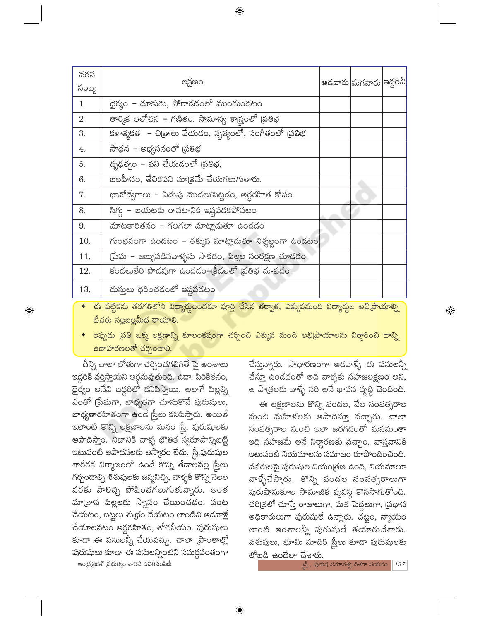| లక్షణం                                              |                                      |                                                            |                                                |
|-----------------------------------------------------|--------------------------------------|------------------------------------------------------------|------------------------------------------------|
|                                                     |                                      |                                                            |                                                |
|                                                     |                                      |                                                            |                                                |
| తార్కిక ఆలోచన – గణితం, సామాన్య శాస్త్రంలో (పతిభ     |                                      |                                                            |                                                |
| కళాత్మకత – చిత్రాలు వేయడం, నృత్యంలో, సంగీతంలో (పతిభ |                                      |                                                            |                                                |
| సాధన – అభ్యసనంలో (పతిభ                              |                                      |                                                            |                                                |
| దృఢత్వం – పని చేయడంలో (పతిభ,                        |                                      |                                                            |                                                |
| బలహీనం, తేలికపని మాత్రమే చేయగలుగుతారు.              |                                      |                                                            |                                                |
| భావోద్వేగాలు – ఏదుపు మొదలుపెట్టడం, అర్ధరహిత కోపం    |                                      |                                                            |                                                |
| సిగ్గు – బయటకు రావటానికి ఇష్టపడకపోవటం               |                                      |                                                            |                                                |
| మాటకారితనం - గలగలా మాట్లాదుతూ ఉందడం                 |                                      |                                                            |                                                |
|                                                     |                                      |                                                            |                                                |
| (పేమ – జబ్బుపడినవాళ్ళను సాకడం, పిల్లల సంరక్షణ చూడడం |                                      |                                                            |                                                |
| కండలుతేరి పొడవుగా ఉండడం–క్రీడలలో (పతిభ చూపడం        |                                      |                                                            |                                                |
| దుసులు ధరించడంలో ఇష్టపడటం                           |                                      |                                                            |                                                |
|                                                     | ధైర్యం – దూకుడు, పోరాడడంలో ముందుండటం | $\sim$ సంభనంగా ఉండటం - తక్కువ మాట్లాడుతూ నిశ్శబ్దంగా ఉండటం | ఆడవారు మగవారు ఇద్దరివీ <br>$\circ$ . $\supset$ |

ఈ పట్టికను తరగతిలోని విద్యార్థులందరూ పూర్తి చేసిన తర్వాత, ఎక్కువమంది విద్యార్థుల అభి[వాయాల్ని టీచరు నల్లబల్లమీద రాయాలి.

్ ఇప్పుడు (పతి ఒక్క లక్షణాన్ని కూలంకషంగా చర్చించి ఎక్కువ మంది అభి[పాయాలను నిర్ధారించి దాన్ని  $\frac{1}{6}$ దాహరణలతో చర్చించాలి.

దీన్ని చాలా లోతుగా చర్చించగలిగితే పై అంశాలు ఇద్దరికి వర్తిస్తాయని అర్ధమవుతుంది. ఉదా: పిరికితనం, ధైర్యం అనేవి ఇద్దరిలో కనిపిస్తాయి. అలాగే పిల్లల్ని ఎంతో (పేమగా, బాధ్యతగా చూసుకొనే పురుషులు, బాధ్యతారహితంగా ఉండే స్ర్తీలు కనిపిస్తారు. అయితే ఇలాంటి కొన్ని లక్షణాలను మనం స్త్రీ, పురుషులకు ఆపాదిస్తాం. నిజానికి వాళ్ళ భౌతిక స్వరూపాన్నిబట్టి ఇటువంటి ఆపాదనలకు ఆస్కారం లేదు. స్త్రీ,పురుషుల శారీరక నిర్మాణంలో ఉండే కొన్ని తేడాలవల్ల స్త్రీలు గర్భందాల్చి శిశువులకు జన్మనిచ్చి, వాళ్ళకి కొన్ని నెలల వరకు పాలిచ్చి పోషించగలుగుతున్నారు. అంత మా[తాన పిల్లలకు స్నానం చేయించడం, వంట చేయటం, బట్టలు శుభ్రం చేయటం లాంటివి ఆడవాళ్లే చేయాలనటం అర్ధరహితం, శోచనీయం. పురుషులు కూడా ఈ పనులన్నీ చేయవచ్చు. చాలా (పాంతాల్లో పురుషులు కూడా ఈ పనులన్నింటిని సమర్దవంతంగా ఆంధ్ర(పదేశ్ (పభుత్వం వారిచే ఉచితపంపిణీ

 $\bigoplus$ 

చేస్తున్నారు. సాధారణంగా ఆడవాళ్ళే ఈ పనులన్నీ చేస్తూ ఉందడంతో అది వాళ్ళకు సహజలక్షణం అని, ఆ పాత్రలకు వాళ్ళే సరి అనే భావన వృద్ధి చెందింది.

 $\bigoplus$ 

ఈ లక్షణాలను కొన్ని వందల, వేల సంవత్సరాల నుంచి మహిళలకు ఆపాదిస్తూ వచ్చారు. చాలా సంవత్సరాల నుంచి ఇలా జరగడంతో మనమంతా ఇది సహజమే అనే నిర్ధారణకు వచ్చాం. వాస్తవానికి ఇటువంటి నియమాలను సమాజం రూపొందించింది. వనరులపై పురుషుల నియం[తణ ఉంది, నియమాలూ వాళ్ళేచేస్తారు. కొన్ని వందల సంవత్సరాలుగా పురుషానుకూల సామాజిక వ్యవస్థ కొనసాగుతోంది. చరిత్రలో చూస్తే రాజులుగా, మత పెద్దలుగా, (పధాన అధికారులుగా పురుషులే ఉన్నారు. చట్టం, న్యాయం లాంటి అంశాలన్నీ పురుషులే తయారుచేశారు. పశువులు, భూమి మాదిరి స్త్రీలు కూడా పురుషులకు లో<u>బడి ఉండేలా చేశారు.</u>

 $\rho_2^b$  , పురుష సమానత్వ దిశగా పయనం  $\mid$  137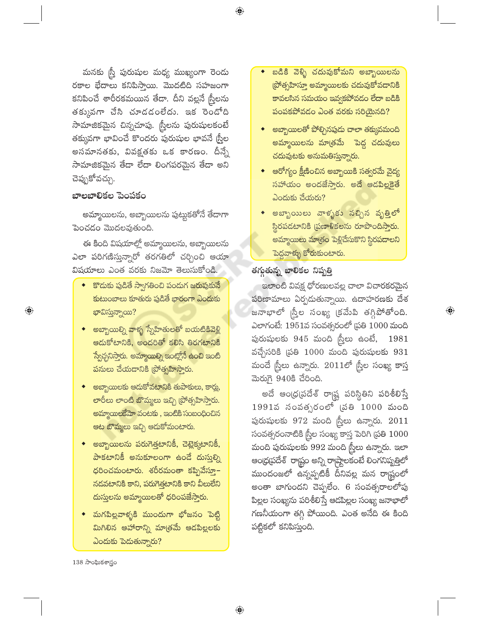మనకు స్ర్తీ పురుషుల మధ్య ముఖ్యంగా రెండు రకాల భేదాలు కనిపిస్తాయి. మొదటిది సహజంగా కనిపించే శారీరకమయిన తేదా. దీని వల్లనే స్త్రీలను తక్కువగా చేసి చూడడంలేదు. ఇక రెండోది సామాజికమైన చిన్నచూపు. స్త్రీలను పురుషులకంటే తక్కువగా భావించే కొందరు పురుషుల భావనే స్ర్రీల అసమానతకు, వివక్షతకు ఒక కారణం. దీన్నే సామాజికమైన తేడా లేదా లింగపరమైన తేడా అని చెప్పుకోవచ్చు.

#### బాలబాలికల పెంపకం

 $\bigoplus$ 

అమ్మాయిలను, అబ్బాయిలను పుట్టుకతోనే తేదాగా పెంచడం మొదలవుతుంది.

ఈ కింది విషయాల్లో అమ్మాయిలను, అబ్బాయిలను ఎలా పరిగణిస్తున్నారో తరగతిలో చర్చించి ఆయా విషయాలు ఎంత వరకు నిజమో తెలుసుకోండి.

- $\bullet$  కొదుకు పుడితే స్వాగతించి పందుగ జరుపుకునే కుటుంబాలు కూతురు పుడితే భారంగా ఎందుకు భావిస్తున్నాయి?
- అబ్బాయిల్ని వాళ్ళ స్నేహితులతో బయటికివె<u>ళ్లి</u> <mark>ఆడుకోటానికి, అందరితో కలిసి తిరగటానికి</mark> స్వేచ్చనిస్తారు. అమ్మాయిల్ని ఇంట్లోనే ఉంచి ఇంటి పనులు చేయడానికి (పోత్సహిస్తారు.
- అబ్బాయిలకు ఆదుకోవటానికి తుపాకులు, కార్లు, లారీలు లాంటి బొమ్మలు ఇచ్చి (పోత్సహిస్తారు. అమ్మాయిలకేమో వంటకు, ఇంటికి సంబంధించిన ఆట బొమ్మలు ఇచ్చి ఆదుకోమంటారు.
- అబ్బాయిలను పరుగెత్తటానికీ, చెట్లెక్కటానికీ, పాకటానికీ అనుకూలంగా ఉందే దుస్తుల్ని ధరించమంటారు. శరీరమంతా కప్పివేస్తూ<mark>–</mark> నడవటానికి కాని, పరుగెత్తటానికి కాని వీలులేని <mark>దుస్తులను అమ్మాయిలతో ధరింపజేస్తారు.</mark>
- మగపిల్లవాళ్ళకి ముందుగా భోజనం పెట్టి మిగిలిన ఆహారాన్ని మాత్<mark>ర</mark>మే ఆడపిల్లలకు  $\omega$ ందుకు పెదుతున్నారు?

 $\bigoplus$ 

- బడికి వెళ్ళి చదువుకోమని అబ్బాయిలను (పోత్సహిస్తూ అమ్మాయిలకు చదువుకోవదానికి కావలసిన సమయం ఇవ్వకపోవడం లేదా బడికి పంపకపోవడం ఎంత వరకు సరియైనది?
- అబ్బాయిలతో పోల్చినపుడు చాలా తక్కువమంది అమ్మాయిలను మా<mark>త్రమే పెద్ద చదువులు</mark> చదువుటకు అనుమతిస్తున్నారు.
- ్ఆరోగ్యం క్షీణించిన అబ్బాయికి సత్వరమే వైద్య సహాయం అందజేస్తారు. అదే ఆడపిల్లకైతే ఎందుకు చేయరు?
- అబ్బాయిలు వాళ్ళకు నచ్చిన వృత్తిలో స్థిరపడటానికి ప్రణాళికలను రూపొందిస్తారు. <mark>అమ్మాయిలు మా</mark>త్రం పెళ్లిచేసుకొని స్థిరపడాలని పెద్దవాళ్ళు కోరుకుంటారు.

#### తగ్గుతున్న బాలికల నిష్పత్తి

ఇలాంటి వివక్ష ధోరణులవల్ల చాలా విచారకరమైన పరిణామాలు ఏర్పడుతున్నాయి. ఉదాహరణకు దేశ జనాభాలో స్త్రీల సంఖ్య క్రమేపి తగ్గిపోతోంది. ఎలాగంటే: 1951వ సంవత్సరంలో ప్రతి  $1000$  మంది పురుషులకు  $945$  మంది స్త్రీలు ఉంటే,  $1981$ వచ్చేసరికి (పతి 1000 మంది పురుషులకు 931 మందే స్త్రీలు ఉన్నారు.  $2011$ లో స్త్రీల సంఖ్య కాస్త మెరుగై 940కి చేరింది.

 $\textcircled{\scriptsize{*}}$ 

అదే ఆంధ్రప్రదేశ్ రాష్ట్ర పరిస్థితిని పరిశీలిస్తే  $1991$ వ సంవత్సరంలో (పతి  $1000$  మంది పురుషులకు  $972$  మంది స్త్రీలు ఉన్నారు.  $2011$ సంవత్సరంనాటికి స్త్రీల సంఖ్య కాస్త పెరిగి (పతి 1000 మంది పురుషులకు 992 మంది స్త్రీలు ఉన్నారు. ఇలా ఆంధ్రప్రదేశ్ రాష్ట్రం అన్ని రాష్ట్రాలకంటే లింగనిష్పత్తిలో ముందంజలో ఉన్నప్పటికీ దీనివల్ల మన రాష్ట్రంలో అంతా బాగుందని చెప్పలేం. 6 సంవత్సరాలలోపు పిల్లల సంఖ్యను పరిశీలిస్తే ఆడపిల్లల సంఖ్య జనాభాలో గణనీయంగా తగ్గి పోయింది. ఎంత అనేది ఈ కింది పట్టికలో కనిపిస్తుంది.

138 సాంఘికశాస్త్రం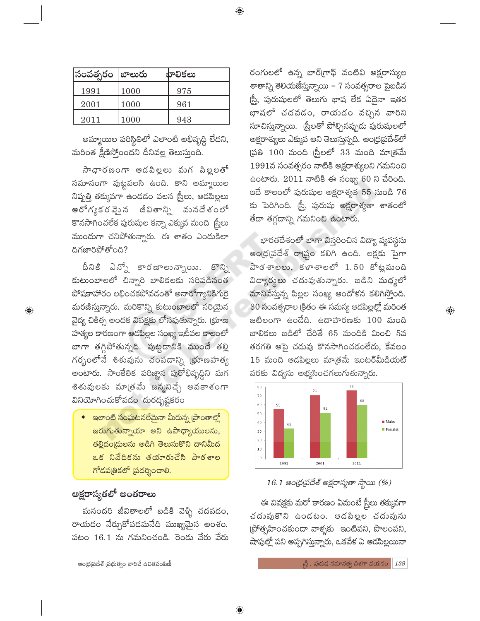| సంవత్సరం  బాలురు |      | బాలికలు |
|------------------|------|---------|
| 1991             | 1000 | 975     |
| 2001             | 1000 | 961     |
| 2011             | 1000 | 943     |

అమ్మాయిల పరిస్థితిలో ఎలాంటి అభివృద్ధి లేదని, మరింత క్షీణిస్తోంందని దీనివల్ల తెలుస్తుంది.

సాధారణంగా ఆడపిల్లలు మగ పిల్లలతో సమానంగా పుట్టవలసి ఉంది. కాని అమ్మాయిల నిష్పత్తి తక్కువగా ఉండడం వలన స్ర్తీలు, ఆడపిల్లలు ఆరోగ్యకర వె<u>స</u>ై న జీవితాన్ని మనదేశంలో కొనసాగించలేక పురుషుల కన్నా ఎక్కువ మంది బ్రీలు ముందుగా చనిపోతున్నారు. ఈ శాతం ఎందుకిలా దిగజారిపోతోంది?

దీనికి ఎన్నో కారణాలున్నాయి. కొన్ని కుటుంబాలలో చిన్నారి బాలికలకు సరిపడినంత పోషకాహారం లభించకపోవడంతో అనారోగ్యానికిగురై మరణిస్తున్నారు. మరికొన్ని కుటుంబాలలో సరియైన వైద్య చికిత్స అందక వివక్షకు లోనవుతున్నారు. (భూణ హత్యల కారణంగా ఆడపిల్లల సంఖ్య ఇటీవల కాలంలో బాగా తగ్గిపోతున్నది. పుట్టడానికి ముందే తల్లి గర్భంలోనే శిశువును చంపడాన్ని <mark>భ</mark>ూణహత్య .<br>అంటారు. సాంకేతిక పరిజ్ఞాన పురోభివృద్ధిని మగ శిశువులకు మాత్రమే జన్మనిచ్చే అవకాశంగా వినియోగించుకోవడం దురదృష్టకరం

్ల ఇలాంటి <mark>సంఘటనలేమైనా మీరున్న (పాం</mark>తాల్లో జరుగుతున్నాయా అని ఉపాధ్యాయులను, తల్లిదండ్రులను అడిగి తెలుసుకొని దానిమీద ఒక నివేదికను తయారుచేసి పాఠశాల గోడపత్రికలో ప్రదర్శించాలి.

# అక్షరాస్యతలో అంతరాలు

 $\bigoplus$ 

మనందరి జీవితాలలో బడికి వెళ్ళి చదవడం, రాయడం నేర్చుకోవడమనేది ముఖ్యమైన అంశం. పటం 16.1 ను గమనించండి. రెండు వేరు వేరు

ఆంధ్రప్రదేశ్ ప్రభుత్వం వారిచే ఉచితపంపిణీ

రంగులలో ఉన్న బార్(గాఫ్ వంటివి అక్షరాస్యుల శాతాన్ని తెలియజేస్తున్నాయి – 7 సంవత్సరాల పైబడిన (స్త్రీ, పురుషులలో తెలుగు భాష లేక ఏదైనా ఇతర భాషలో చదవడం, రాయడం వచ్చిన వారిని సూచిస్తున్నాయి. (స్త్రీలతో పోల్చినప్పుడు పురుషులలో అక్షరాశ్యులు ఎక్కువ అని తెలుస్తున్నది. ఆం(ధ(పదేశ్లో (పతి  $100$  మంది స్టీలలో  $33$  మంది మాత్రమే 1991వ సంవత్సరం నాటికి అక్షరాశ్యులని గమనించి ఉంటారు.  $2011$  నాటికి ఈ సంఖ్య 60 ని చేరింది. ఇదే కాలంలో పురుషుల అక్షరాశ్యత  $55$  నుండి  $76$ కు పెరిగింది. స్త్రీ, పురుషు అక్షరాశ్యతా శాతంలో తేదా తగ్గదాన్ని గమనించి ఉంటారు.

భారతదేశంలో బాగా విస్తరించిన విద్యా వ్యవస్థను అంథ్ర(పదేశ్ రా<mark>డ్</mark>టం కలిగి ఉంది. లక్షకు పైగా  $\frac{1}{2}$ పాఠశాలలు, కళాశాలలో  $1.50$  కోట్లమంది విద్యార్మలు చదువుతున్నారు. బడిని మధ్యలో మానివేస్తున్న పిల్లల సంఖ్య ఆందోళన కలిగిస్తోంది. 30 సంవత్సరాల క్రితం ఈ సమస్య ఆడపిల్లల్లో మరింత జటిలంగా ఉండేది. ఉదాహరణకు 100 మంది బాలికలు బడిలో చేరితే 65 మందికి మించి 5వ తరగతి ఆపై చదువు కొనసాగించడంలేదు, కేవలం  $15$  మంది ఆడపిల్లలు మాత్రమే ఇంటర్మీడియట్ వరకు విద్యను అభ్యసించగలుగుతున్నారు.

 $\bigoplus$ 



16.1 ఆంధ్రప్రదేశ్ అక్షరాసృతా స్థాయి (%)

ఈ వివక్షకు మరో కారణం ఏమంటే స్త్రీలు తక్కువగా చదువుకొని ఉండటం. ఆడపిల్లల చదువును (పోత్సహించకుండా వాళ్ళకు ఇంటిపని, పొలంపని, షాపుల్లో పని అప్పగిస్తున్నారు, ఒకవేళ ఏ ఆడపిల్లయినా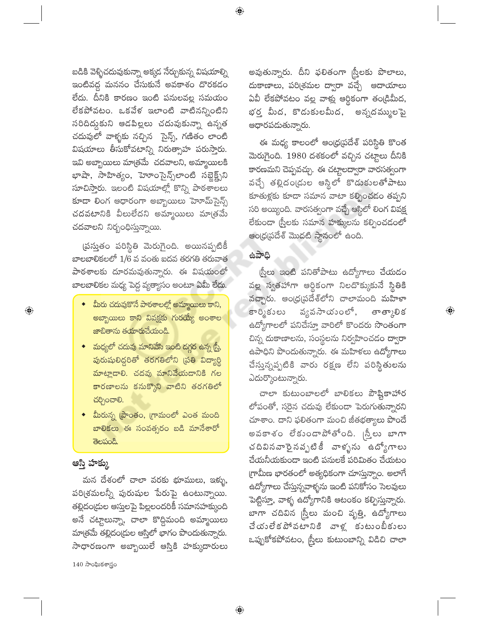బడికి వెళ్ళిచదువుకున్నా అక్కడ నేర్చుకున్న విషయాల్ని ఇంటివద్ద మననం చేసుకునే అవకాశం దొరకడం లేదు. దీనికి కారణం ఇంటి పనులవల్ల సమయం లేకపోవటం. ఒకవేళ ఇలాంటి వాటినన్నింటిని సరిదిద్దుకుని ఆడపిల్లలు చదువుకున్నా ఉన్నత చదువులో వాళ్ళకు నచ్చిన సైన్స్, గణితం లాంటి విషయాలు తీసుకోవటాన్ని నిరుత్సాహ పరుస్తారు. ఇవి అబ్బాయిలు మాత్రమే చదవాలని, అమ్మాయిలకి భాషా, సాహిత్యం, హెూంసైన్స్అాంటి సబ్జెక్ట్స్ సూచిస్తారు. ఇలంటి విషయాల్లో కొన్ని పాఠశాలలు కూడా లింగ ఆధారంగా అబ్బాయిలు హెూమ్సైన్స్ చదవటానికి వీలులేదని అమ్మాయిలు మా[తమే చదవాలని నిర్బంధిస్తున్నాయి.

(పస్తుతం పరిస్థితి మెరుగైంది. అయినప్పటికీ బాలబాలికలలో 1/6 వ వంతు ఐదవ తరగతి తరువాత పాఠశాలకు దూరమవుతున్నారు. ఈ విషయంలో బాలబాలికల మధ్య పెద్ద వ్యత్యాసం అంటూ ఏమీ లేదు.

- మీరు చదువుకొనే పాఠశాలల్లో అమ్మాయిలు కాని, అబ్బాయిలు కాని వివక్షకు గురయ్యే అంశాల జాబితాను తయారుచేయండి.
- <mark>మధ్యలో చదువు మానివేసి ఇంటి దగ్గర ఉ</mark>న్న <mark>స్త్రీ</mark>, పురుషులిద్దరితో తరగతిలోని వ్రతి విద్యార్థి మాట్లాడాలి. చదవు మానివేయడానికి గల <mark>కా</mark>రణాలను కనుక్కొని వాటిని తరగతిలో చర్చించాలి.
- <mark>మీరున్న (పాంతం, గ్రా</mark>మంలో ఎంత మంది బాలికలు ఈ సంవత్సరం ఐడి మానేశారో తెలపండి.

### ఆస్తి హక్కు

 $\bigoplus$ 

మన దేశంలో చాలా వరకు భూములు, ఇళ్ళు, పరి(శమలన్నీ పురుషుల పేరుపై ఉంటున్నాయి. తల్లిదం(దుల ఆస్తులపై పిల్లలందరికీ సమానహక్కుంది అనే చట్టాలున్నా, చాలా కొద్దిమంది అమ్మాయిలు మాత్రమే తల్లిదం(దుల ఆస్తిలో భాగం పొందుతున్నారు. సాధారణంగా అబ్బాయిలే ఆస్తికి హక్కుదారులు

 $140$  సాంఘికశాస్త్రం

అవుతున్నారు. దీని ఫలితంగా ¦స్తీలకు పొలాలు, దుకాణాలు, పరిశ్రమల ద్వారా వచ్చే ఆదాయాలు ఏవీ లేకపోవటం వల్ల వాళ్లు ఆర్థికంగా తండ్రిమీద, భర్త మీద, కొడుకులమీద, అన్నదమ్ములపై ఆధారపడుతున్నారు.

ఈ మధ్య కాలంలో ఆంధ్రప్రదేశ్ పరిస్థితి కొంత మెరుగైంది. 1980 దశకంలో వచ్చిన చట్టాలు దీనికి కారణమని చెప్పవచ్చు. ఈ చట్టాలద్వారా వారసత్వంగా వచ్చే తల్లిదంఁడుల ఆస్థిలో కొడుకులతోపాటు కూతుళ్లకు కూడా సమాన వాటా కల్పించడం తప్పని సరి అయ్యింది. వారసత్వంగా వచ్చే ఆస్టిలో లింగ వివక్ష లేకుండా (స్త్రీలకు సమాన హక్కులను కల్పించడంలో ఆంధ్రప్రదేశ్ మొదటి స్థానంలో ఉంది.

#### ఉపాధి

 $\bigoplus$ 

<u>ద్రీ</u>లు ఇంటి పనితోపాటు ఉద్యోగాలు చేయడం వల్ల స్వతహాగా ఆర్థికంగా నిలదొక్కుకునే స్థితికి వచ్చారు. ఆంధ్రప్రదేశ్లోని చాలామంది మహేళా వ్యవసాయంలో, కార్మికులు తాత్కాలిక ఉద్యోగాలలో పనిచేస్తూ వారిలో కొందరు సొంతంగా చిన్న దుకాణాలను, సంస్థలను నిర్వహించడం ద్వారా ఉపాధిని పొందుతున్నారు. ఈ మహిళలు ఉద్యోగాలు చేస్తున్నప్పటికి వారు రక్షణ లేని పరిస్థితులను ఎదుర్కొంటున్నారు.

 $\bigoplus$ 

చాలా కుటుంబాలలో బాలికలు పౌష్టికాహార లోపంతో, సరైన చదువు లేకుండా పెరుగుతున్నారని చూశాం. దాని ఫలితంగా మంచి జీతభత్యాలు పొందే అవకాశం లేకుండాపోతోంది. <sub>(</sub>స్త్రీలు బాగా చదివినవారైనవృటికీ వాళ్ళను ఉద్యోగాలు చేయనీయకుండా ఇంటి పనులకే పరిమితం చేయటం గ్రామీణ భారతంలో అత్యధికంగా చూస్తున్నాం. అలాగే ఉద్యోగాలు చేస్తున్నవాళ్ళను ఇంటి పనికోసం సెలవులు పెట్టిస్తూ, వాళ్ళ ఉద్యోగానికి ఆటంకం కల్పిస్తున్నారు. బాగా చదివిన స్ర్తీలు మంచి వృత్తి, ఉద్యోగాలు చేయంలేకపోవటానికి వాళ్ల కుటుంబీకులు ఒప్పుకోకపోవటం, స్ర్రీలు కుటుంబాన్ని విడిచి చాలా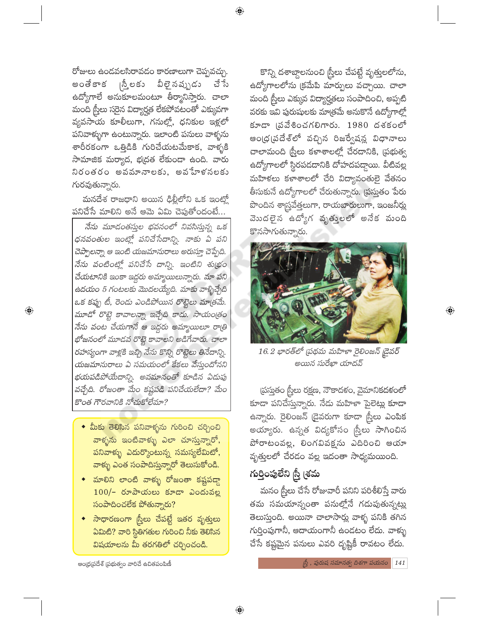రోజులు ఉండవలసిరావడం కారణాలుగా చెప్పవచ్చు. |స్త్రీలకు వీలై నప్పుడు చే సే అంతేకాక ఉద్యోగాలే అనుకూలమంటూ తీర్మానిస్తారు. చాలా మంది స్ర్రీలు సరైన విద్యార్హత లేకపోవటంతో ఎక్కువగా వ్యవసాయ కూలీలుగా, గనుల్లో, ధనికుల ఇళ్లలో పనివాళ్ళుగా ఉంటున్నారు. ఇలాంటి పనులు వాళ్ళను శారీరకంగా ఒత్తిడికి గురిచేయటమేకాక, వాళ్ళకి సామాజిక మర్యాద, భద్రత లేకుండా ఉంది. వారు నిరంతరం అవమానాలకు, అవేహళనలకు గురవుతున్నారు.

మనదేశ రాజధాని అయిన ఢిల్లీలోని ఒక ఇంట్లో పనిచేసే మాలిని అనే ఆమె ఏమి చెపుతోందంటే...

నేను మూడంతసుల భవనంలో నివసిస్తున్న ఒక ధనవంతుల ఇంట్లో పనిచేసేదాన్ని. నాకు ఏ పని చెప్పాలన్నా ఆ ఇంటి యజమానురాలు అరుస్తూ చెప్పేది. నేను వంటింట్లో పనిచేసే దాన్ని. ఇంటిని శుభ్రం చేయటానికి ఇంకా ఇద్దరు అమ్మాయిలున్నారు. మా పని ఉదయం 5 గంటలకు మొదలయ్యేది. మాకు వాళ్ళిచ్చేది ఒక కప్పు టీ, రెండు ఎండిపోయిన రొట్టెలు మాత్రమే. మూడో రొట్టె కావాలన్నా ఇచ్చేది కాదు. సాయంత్రం నేను వంట చేయగానే ఆ ఇద్దరు అమ్మాయిలూ రాత్రి భోజనంలో మూడవ రొట్టె కావాలని అడిగేవారు. చాలా రహస్యంగా వాళ్లకి ఇచ్చి నేను కొన్ని రొట్టెలు తినేదాన్ని. యజమానురాలు ఏ సమయంలో కేకలు వేస్తుందోనని భయపడిపోయేదాన్ని. అవమానంతో కూడిన ఏడుపు వచ్చేది. రోజంతా మేం కష్టపడి పనిచేయలేదా? మేం కొంత గౌరవానికి నోచుకోలేమా?

 $\bigoplus$ 

- $\bullet$  మీకు తెలిసిన పనివాళ్ళను గురించి చర్చించి వాళ్ళను ఇంటివాళ్ళు ఎలా చూస్తున్నారో, పనివాళ్ళు ఎదుర్కొంటున్న సమస్యలేమిటో, వాక్ళు ఎంత సంపాదిస్తున్నారో తెలుసుకోండి.
- $\bullet$  మాలిని లాంటి వాళ్ళు రోజంతా కష్టపడ్దా  $100/-$  రూపాయలు కూడా ఎందువల్ల  $\frac{1}{2}$ సంపాదించలేక పోతున్నారు?
- $\bullet$  సాధారణంగా స్ర్రీలు చేపట్టే ఇతర వృత్తులు ఏమిటి? వారి స్థితిగతుల గురించి నీకు తెలిసిన విషయాలను మీ తరగతిలో చర్చించండి.

 $\bigoplus$ 

మనం స్ర్తీలు చేసే రోజువారీ పనిని పరిశీలిస్తే వారు తమ సమయాన్నంతా పనుల్లోనే గడుపుతున్నట్లు తెలుస్తుంది. అయినా చాలాసార్లు వాళ్ళ పనికి తగిన గుర్తింపుగానీ, ఆదాయంగానీ ఉండటం లేదు. వాళ్ళు చేసే కష్టమైన పనులు ఎవరి దృష్టికీ రావటం లేదు.

కొన్ని దశాబ్దాలనుంచి స్త్రీలు చేపట్టే వృత్తులలోను, ఉద్యోగాలలోను క్రమేపి మార్పులు వచ్చాయి. చాలా మంది స్త్రీలు ఎక్కువ విద్యార్హతలు సంపాదించి, అప్పటి వరకు ఇవి పురుషులకు మాత్రమే అనుకొనే ఉద్యోగాల్లో కూడా (పవేశించగలిగారు. 1980 దశకంలో ఆం(ధ(పదేశ్లో వచ్చిన రిజర్వేషన్ల విధానాలు చాలామంది స్ర్రీలు కళాశాలల్లో చేరదానికి, ప్రభుత్వ ఉద్యోగాలలో స్థిరపడదానికి దోహదపద్దాయి. వీటివల్ల మహిళలు కళాశాలలో చేరి విద్యావంతులై వేతనం తీసుకునే ఉద్యోగాలలో చేరుతున్నారు. (పస్తుతం పేరు పొందిన శాస్ర్రవేత్తలుగా, రాయబారులుగా, ఇంజనీర్లు మొదలైన ఉద్యోగ వృత్తులలో అనేక మంది కొనసాగుతున్నారు.



 $\textcircled{\scriptsize\textsf{P}}$ 

16.2 భారత్లో (పథమ మహిళా రైలింజన్ డైవర్ అయిన సురేఖా యాదవ్

<u>ద్రస్తు</u>తం స్రీలు రక్షణ, నౌకాదళం, వైమానికదళంలో కూడా పనిచేస్తున్నారు. నేడు మహిళా పైలెట్లు కూడా ఉన్నారు. రైలింజన్ (డైవరుగా కూడా <mark>స్త్రీలు ఎంపిక</mark> అయ్యారు. ఉన్నత విద్యకోసం స్ర్తీలు సాగించిన పోరాటంవల్ల, లింగవివక్షను ఎదిరించి ఆయా వృత్తులలో చేరడం వల్ల ఇదంతా సాధ్యమయింది.

గుర్తింపులేని స్త్రీ క్రమ

ఆంధ్ర(పదేశ్ (పభుత్వం వారిచే ఉచితపంపిణీ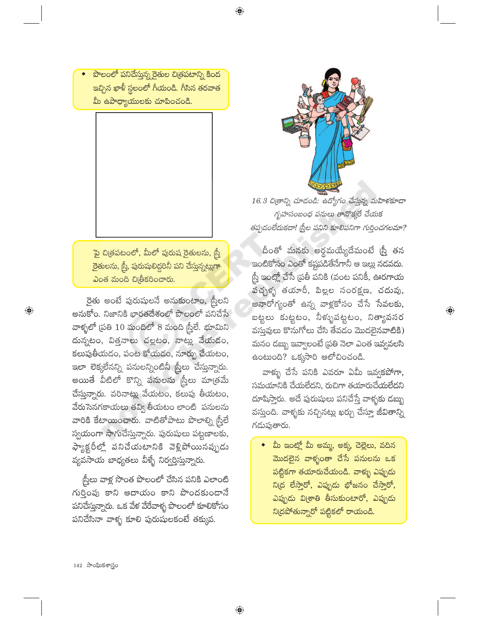పొలంలో పనిచేస్తున్న రైతుల చిత్రపటాన్ని కింద .<br>ఇచ్చిన ఖాళీ స్థలంలో గీయండి. గీసిన తరవాత మీ ఉపాధ్యాయులకు చూపించండి.

<mark>ై</mark>పై చిత్రపటంలో, మీలో పురుష రైతులను, <mark>స్త్రీ</mark> రైతులను, స్త్రీ, పురుషులిద్దరినీ పని చేస్తున్నట్లుగా  $\partial$ ၀త మంది చిత్రీకరించారు.

రైతు అంటే పురుషులనే అనుకుంటాం, స్త్రీలని అనుకోం. నిజానికి భారతదేశంలో పొలంలో పనిచేసే వాళ్ళలో (పతి  $10$  మందిలో 8 మంది స్రీలే. భూమిని దున్నటం, విత్తనాలు చల్లటం, నాట్లు వేయడం, కలుపుతీయదం, పంట కోయడం, నూర్పు చేయటం, ఇలా లెక్కలేనన్ని పనులన్నింటినీ స్త్రీలు చేస్తున్నారు. అయితే వీటిలో కొన్ని పనులను స్ర్తీలు మాత్రమే చేస్తున్నారు. వరినాట్లు వేయటం, కలుపు తీయటం, వేరుసెనగకాయలు తవ్వి తీయటం లాంటి పనులను వారికి కేటాయించారు. వాటితోపాటు పొలాల్ని స్రీలే స్వయంగా సాగుచేస్తున్నారు. పురుషులు పట్టణాలకు, ఫ్యాక్టరీల్లో పనిచేయటానికి వెళ్లిపోయినప్పుడు వ్యవసాయ బాధ్యతలు వీళ్ళే నిర్వర్తిస్తున్నారు.

స్త్రీలు వాళ్ల సొంత పొలంలో చేసిన పనికి ఎలాంటి గుర్తింపు కాని ఆదాయం కాని పొందకుండానే పనిచేస్తున్నారు. ఒక వేళ వేరేవాళ్ళ పొలంలో కూలికోసం పనిచేసినా వాళ్ళ కూలి పురుషులకంటే తక్కువ.

 $\bigoplus$ 



16.3 చిత్రాన్ని చూడండి: ఉద్యోగం చేస్తున్న మహిళకూడా గృహసంబంధ పనులు తానొక్కరే చేయక తప్పడంలేదుకదా! [స్త్రీల పనిని కూలిపనిగా గుర్తించగలమా?

దీంతో మనకు అర్థమయ్యేదేమంటే (స్త్రీ తన ఇంటికోసం ఎంతో కష్టపడితేనేగానీ ఆ ఇల్లు నడవదు. స్త్రీ ఇంట్లో చేసే ప్రతీ పనికి (వంట పనికీ, ఊరగాయ -<br>పచ్చళ్ళ తయారీ, పిల్లల సంరక్షణ, చదువు, అనారోగ్యంతో ఉన్న వాళ్లకోసం చేసే సేవలకు, బట్టలు కుట్టటం, నీళ్ళుపట్టటం, నిత్యావసర వస్తువులు కొనుగోలు చేసి తేవడం మొదలైనవాటికి) మనం డబ్బు ఇవ్వాలంటే (పతి నెలా ఎంత ఇవ్వవలసి ఉంటుంది? ఒక్కసారి ఆలోచించండి.

 $\bigoplus$ 

వాళ్ళు చేసే పనికి ఎవరూ ఏమీ ఇవ్వకపోగా, సమయానికి చేయలేదని, రుచిగా తయారుచేయలేదని దూషిస్తారు. అదే పురుషులు పనిచేస్తే వాళ్ళకు డబ్బు వస్తుంది. వాళ్ళకు నచ్చినట్లు ఖర్చు చేస్తూ జీవితాన్ని గదుపుతారు.

మీ ఇంట్లో మీ అమ్మ, అక్క, చెల్లెలు, వదిన <mark>మొదలైన వాళ్ళంతా చేసే పనులను ఒక</mark> పట్టికగా తయారుచేయండి. వాళ్ళు ఎప్పుడు ని(ద లేస్తారో, ఎప్పుడు భోజనం చేస్తారో<mark>,</mark> ఎప్పుడు వి(శాతి తీసుకుంటారో, ఎప్పుడు ని(దపోతున్నారో పట్టికలో రాయండి.

 $142$  సాంఘికశాస్త్రం

 $\bigoplus$